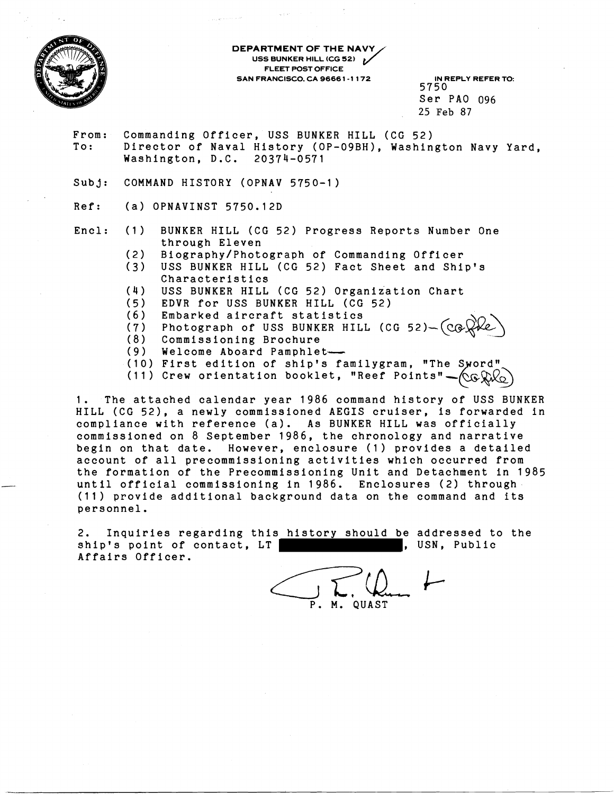

**DEPARTMENT OF THE NAVY**<br>VSS BUNKER HILL (CG 52) **USS BUNKER HILL (CG 52)**<br>
USS BUNKER HILL (CG 52)<br>
FLEET POST OFFICE **FLEET POST OFFICE SAN FRANCISCO. CA 9666 1 -1 1 72 IN REPLY REFER TO:** 

5750 Ser PA0 096 25 Feb **87** 

- From: Commanding Officer, USS BUNKER HILL (CG 52) To: Director of Naval History (OP-09BH), Washington Navy Yard, Washington, D.C. 20374-0571
- Subj: COMMAND HISTORY (OPNAV 5750-1)
- Ref: (a) OPNAVINST 5750.12D
- Encl: (1) BUNKER HILL (CG 52) Progress Reports Number One through Eleven
	- (2) Biography/Photograph of Commanding Officer
	- USS BUNKER HILL (CG 52) Fact Sheet and Ship's Characteristics
	- **(4)** USS BUNKER HILL (CG 52) Organization Chart
	- (5) EDVR for USS BUNKER HILL (CG 52)
	- (6) Embarked aircraft statistics

(7) Photograph of USS BUNKER HILL (CG 52) $-(\text{CG})$ 

- (8) Commissioning Brochure
- (9) Welcome Aboard Pamphlet-
- (10) First edition of ship's familygram, "The Sword"
- (11) Crew orientation booklet, "Reef Points" $\sim$   $\sim$   $\sim$   $\sim$

1. The attached calendar year 1986 command history of USS BUNKER HILL (CG 52), a newly commissioned AEGIS cruiser, is forwarded in compliance with reference (a). As BUNKER HILL was officially commissioned on 8 September 1986, the chronology and narrative begin on that date. However, enclosure (1) provides a detailed account of all precommissioning activities which occurred from the formation of the Precommissioning Unit and Detachment in 1985 until official commissioning in 1986. Enclosures (2) through (11) provide additional background data on the command and its personnel.

2. Inquiries regarding this history should be addressed to the ship's point of contact, LT | The mass of the set of the set of the set of the set of the set of the set of the Affairs Officer.

 $C_{\rm p}$   $\Gamma$ .  $Q_{\rm u}$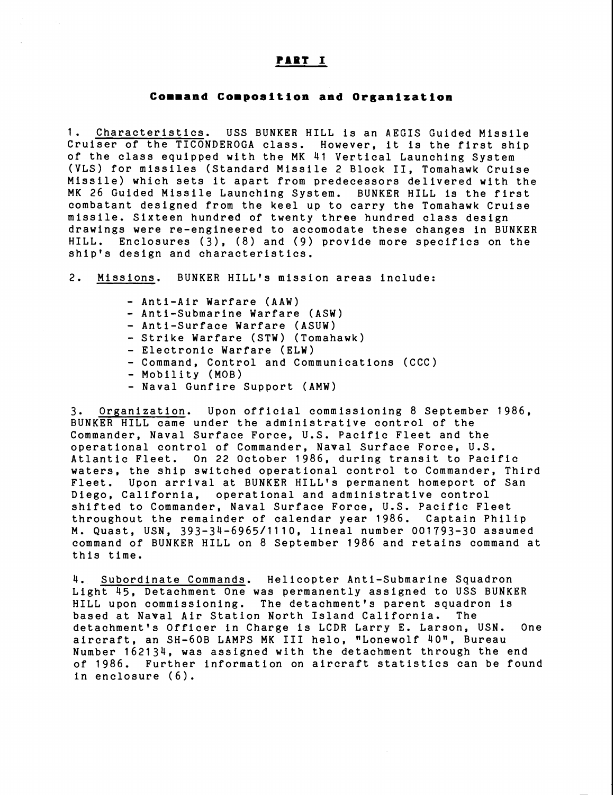### PART I

### **Command Composition and Organization**

1. Characteristics. USS BUNKER HILL is an AEGIS Guided Missile Cruiser of the TICONDEROGA class. However, it is the first ship of the class equipped with the MK 41 Vertical Launching System (VLS) for missiles (Standard Missile 2 Block 11, Tomahawk Cruise Missile) which sets it apart from predecessors delivered with the MK 26 Guided Missile Launching System. BUNKER HILL is the first combatant designed from the keel up to carry the Tomahawk Cruise missile. Sixteen hundred of twenty three hundred class design drawings were re-engineered to accomodate these changes in BUNKER HILL. Enclosures (3), (8) and (9) provide more specifics on the ship's design and characteristics.

2. Missions. BUNKER HILL'S mission areas include:

- Anti-Air Warfare (AAW)
- Anti-Submarine Warfare (ASW)
- Anti-Surface Warfare (ASUW)
- Strike Warfare (STW) (Tomahawk)
- Electronic Warfare (ELW)
- Command, Control and Communications (CCC)
- Mobility (MOB)
- Naval Gunfire Support (AMW)

3. Organization. Upon official commissioning 8 September 1986, BUNKER HILL came under the administrative control of the Commander, Naval Surface Force, U.S. Pacific Fleet and the operational control of Commander, Naval Surface Force, U.S. Atlantic Fleet. On 22 October 1986, during transit to Pacific waters, the ship switched operational control to Commander, Third Fleet. Upon arrival at BUNKER HILL'S permanent homeport of San Diego, California, operational and administrative control shifted to Commander, Naval Surface Force, U.S. Pacific Fleet throughout the remainder of calendar year 1986. Captain Philip M. Quast, USN, 393-34-6965/1110, lineal number 001793-30 assumed command of BUNKER HILL on 8 September 1986 and retains command at this time.

4. Subordinate Commands. Helicopter Anti-Submarine Squadron Light 45, Detachment One was permanently assigned to USS BUNKER HILL upon commissioning. The detachment's parent squadron is based at Naval Air Station North Island California. The detachment's Officer in Charge is LCDR Larry E. Larson, USN. One aircraft, an SH-60B LAMPS MK III helo, "Lonewolf 40", Bureau Number 162134, was assigned with the detachment through the end of 1986. Further information on aircraft statistics can be found in enclosure (6).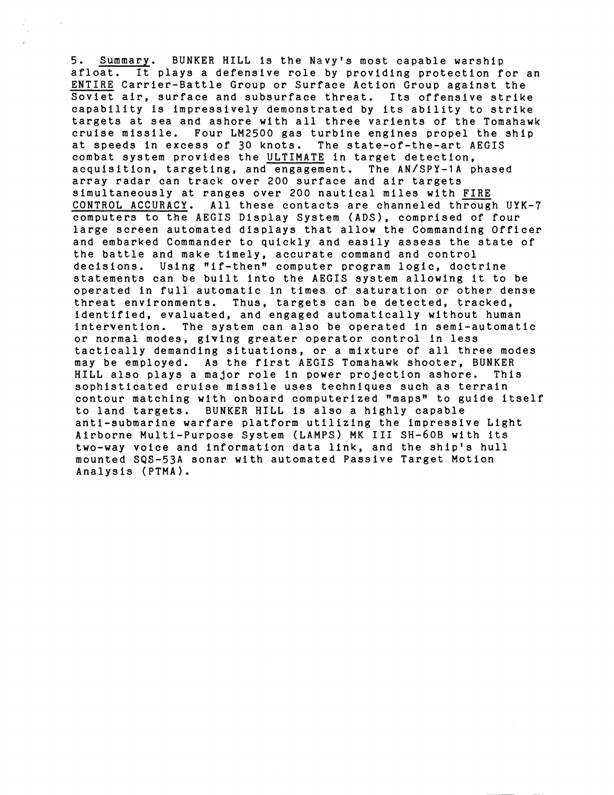5. <u>Summary</u>. BUNKER HILL is the Navy's most capable warship afloat. It plays a defensive role by providing protection for an <u>ENTIRE</u> Carrier-Battle Group or Surface Action Group against the Soviet air, surface and subsurface threat. Its offensive strike capability is impressively demonstrated by its ability to strike targets at sea and ashore with all three varients of the Tomahawk cruise missile. Four LM2500 gas turbine engines propel the ship at speeds in excess of 30 knots. The state-of-the-art AEGIS combat system provides the ULTIMATE in target detection, acquisition, targeting, and engagement. The AN/SPY-1A phased array radar can track over 200 surface and air targets simultaneously at ranges over 200 nautical miles with FIRE CONTROL ACCURACY. All these contacts are channeled through UYK-7 computers to the AEGIS Display System (ADS), comprised of four large screen automated displays that allow the Commanding Officer and embarked Commander to quickly and easily assess the state of the battle and make timely, accurate command and control decisions. Using "if-then" computer program logic, doctrine statements can be built into the AEGIS system allowing it to be operated in full automatic in times of saturation or other dense threat environments. Thus, targets can be detected, tracked, identified, evaluated, and engaged automatically without human intervention. The system can also be operated in semi-automatic or normal modes, giving greater operator control in less tactically demanding situations, or a mixture of all three modes may be employed. As the first AEGIS Tomahawk shooter, BUNKER HILL also plays a major role in power projection ashore. sophisticated cruise missile uses techniques such as terrain contour matching with onboard computerized "maps" to guide itself to land targets. BUNKER HILL is also a highly capable anti-submarine warfare platform utilizing the impressive Light Airborne Multi-Purpose System (LAMPS) MK I11 SH-60B with its two-way voice and information data link, and the ship's hull mounted SQS-53A sonar with automated Passive Target Motion Analysis (PTMA).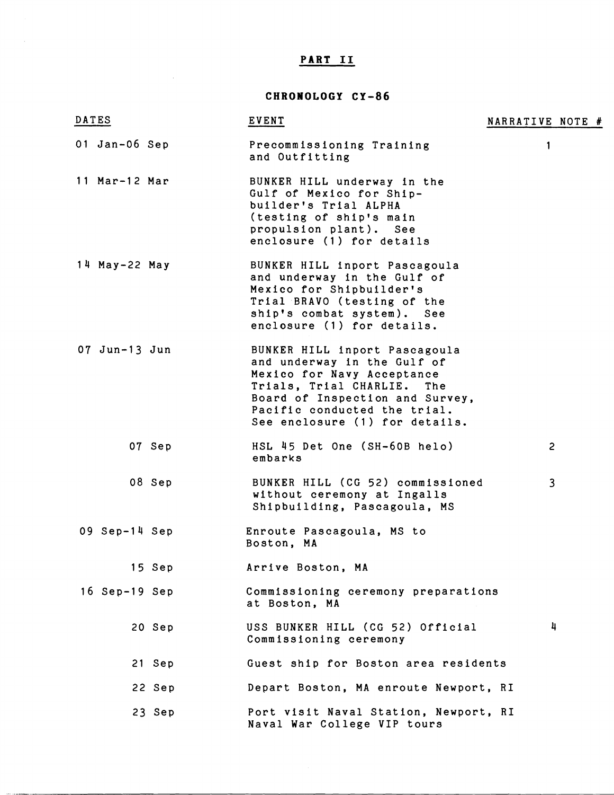## **PART I1**

 $\sim 10^{-1}$ 

# **CHRONOLOGY CY-86**

| DATES           | <b>EVENT</b>                                                                                                                                                                                                                  | NARRATIVE NOTE # |
|-----------------|-------------------------------------------------------------------------------------------------------------------------------------------------------------------------------------------------------------------------------|------------------|
| 01 Jan-06 Sep   | Precommissioning Training<br>and Outfitting                                                                                                                                                                                   | 1                |
| 11 Mar-12 Mar   | BUNKER HILL underway in the<br>Gulf of Mexico for Ship-<br>builder's Trial ALPHA<br>(testing of ship's main<br>propulsion plant). See<br>enclosure (1) for details                                                            |                  |
| 14 May-22 May   | BUNKER HILL inport Pascagoula<br>and underway in the Gulf of<br>Mexico for Shipbuilder's<br>Trial BRAVO (testing of the<br>ship's combat system). See<br>enclosure (1) for details.                                           |                  |
| $07$ Jun-13 Jun | BUNKER HILL inport Pascagoula<br>and underway in the Gulf of<br>Mexico for Navy Acceptance<br>Trials, Trial CHARLIE. The<br>Board of Inspection and Survey,<br>Pacific conducted the trial.<br>See enclosure (1) for details. |                  |
| 07 Sep          | HSL 45 Det One (SH-60B helo)<br>embarks                                                                                                                                                                                       | $\overline{2}$   |
| 08 Sep          | BUNKER HILL (CG 52) commissioned<br>without ceremony at Ingalls<br>Shipbuilding, Pascagoula, MS                                                                                                                               | $\overline{3}$   |
| $09$ Sep-14 Sep | Enroute Pascagoula, MS to<br>Boston, MA                                                                                                                                                                                       |                  |
| 15 Sep          | Arrive Boston, MA                                                                                                                                                                                                             |                  |
| $16$ Sep-19 Sep | Commissioning ceremony preparations<br>at Boston, MA                                                                                                                                                                          |                  |
| 20 Sep          | USS BUNKER HILL (CG 52) Official<br>Commissioning ceremony                                                                                                                                                                    | 4                |
| 21 Sep          | Guest ship for Boston area residents                                                                                                                                                                                          |                  |
| 22 Sep          | Depart Boston, MA enroute Newport, RI                                                                                                                                                                                         |                  |
| 23 Sep          | Port visit Naval Station, Newport, RI<br>Naval War College VIP tours                                                                                                                                                          |                  |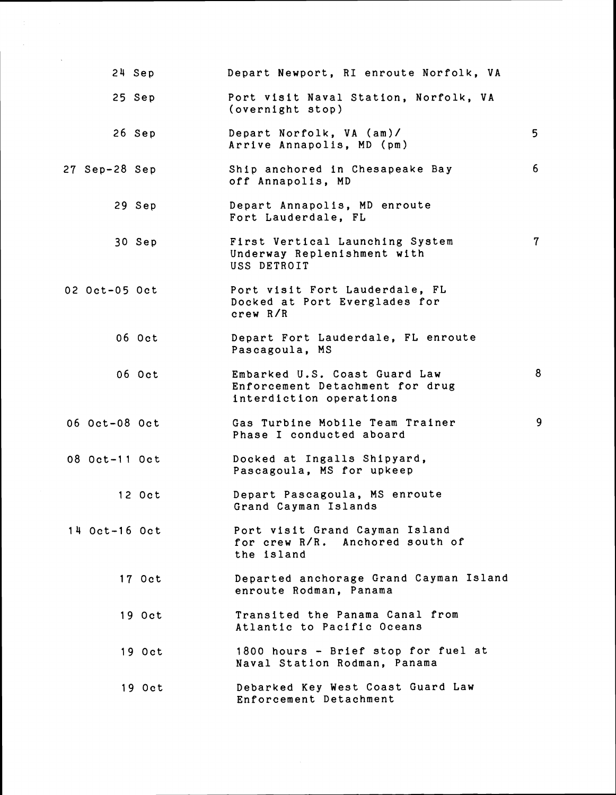|                 | 24 Sep | Depart Newport, RI enroute Norfolk, VA                                                      |                |
|-----------------|--------|---------------------------------------------------------------------------------------------|----------------|
|                 | 25 Sep | Port visit Naval Station, Norfolk, VA<br>(overnight stop)                                   |                |
|                 | 26 Sep | Depart Norfolk, VA (am)/<br>Arrive Annapolis, MD (pm)                                       | 5              |
| 27 Sep-28 Sep   |        | Ship anchored in Chesapeake Bay<br>off Annapolis, MD                                        | 6              |
|                 | 29 Sep | Depart Annapolis, MD enroute<br>Fort Lauderdale, FL                                         |                |
|                 | 30 Sep | First Vertical Launching System<br>Underway Replenishment with<br>USS DETROIT               | $7\phantom{.}$ |
| 02 Oct-05 Oct   |        | Port visit Fort Lauderdale, FL<br>Docked at Port Everglades for<br>crew R/R                 |                |
|                 | 06 Oct | Depart Fort Lauderdale, FL enroute<br>Pascagoula, MS                                        |                |
|                 | 06 Oct | Embarked U.S. Coast Guard Law<br>Enforcement Detachment for drug<br>interdiction operations | 8              |
| 06 Oct-08 Oct   |        | Gas Turbine Mobile Team Trainer<br>Phase I conducted aboard                                 | 9              |
| 08 Oct-11 Oct   |        | Docked at Ingalls Shipyard,<br>Pascagoula, MS for upkeep                                    |                |
|                 | 12 Oct | Depart Pascagoula, MS enroute<br>Grand Cayman Islands                                       |                |
| $14$ Oct-16 Oct |        | Port visit Grand Cayman Island<br>for crew R/R. Anchored south of<br>the island             |                |
|                 | 17 Oct | Departed anchorage Grand Cayman Island<br>enroute Rodman, Panama                            |                |
|                 | 19 Oct | Transited the Panama Canal from<br>Atlantic to Pacific Oceans                               |                |
|                 | 19 Oct | 1800 hours - Brief stop for fuel at<br>Naval Station Rodman, Panama                         |                |
|                 | 19 Oct | Debarked Key West Coast Guard Law<br>Enforcement Detachment                                 |                |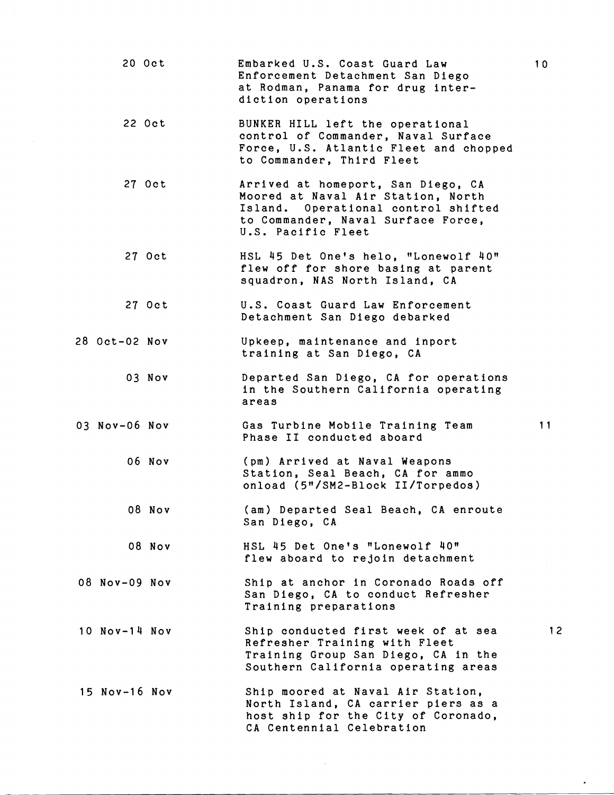20 Oct Embarked U.S. Coast Guard Law Enforcement Detachment San Diego at Rodman, Panama for drug interdiction operations 22 Oct BUNKER HILL left the operational control of Commander, Naval Surface Force, U.S. Atlantic Fleet and chopped to Commander, Third Fleet 27 Oct Arrived at homeport, San Diego, CA Moored at Naval Air Station, North Island. Operational control shifted to Commander, Naval Surface Force, U.S. Pacific Fleet 27 Oct HSL 45 Det One's helo, "Lonewolf 40" flew off for shore basing at parent squadron, NAS North Island, CA 27 Oct U.S. Coast Guard Law Enforcement Detachment San Diego debarked 28 Oct-02 Nov Upkeep, maintenance and inport training at San Diego, CA 03 Nov Departed San Diego, CA for operations in the Southern California operating areas 03 NOV-06 NOV  $-11$ Gas Turbine Mobile Training Team Phase I1 conducted aboard 06 Nov (pm) Arrived at Naval Weapons Station, Seal Beach, CA for ammo onload (5"/SM2-Block II/Torpedos) 08 Nov (am) Departed Seal Beach, CA enroute San Diego, CA 08 Nov HSL 45 Det One's "Lonewolf 40" flew aboard to rejoin detachment 08 NOV-09 NOV Ship at anchor in Coronado Roads off San Diego, CA to conduct Refresher Training preparations Ship conducted first week of at sea 12 10 Nov-14 Nov Refresher Training with Fleet Training Group San Diego, CA in the Southern California operating areas 15 Nov-16 Nov Ship moored at Naval Air Station, North Island, CA carrier piers as a host ship for the City of Coronado, CA Centennial Celebration

 $10$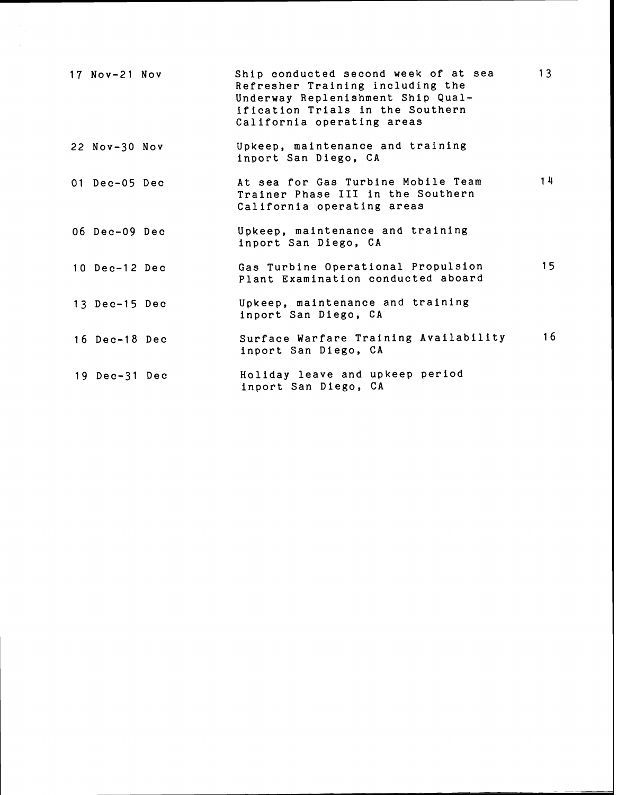| 17 Nov-21 Nov   | Ship conducted second week of at sea<br>Refresher Training including the<br>Underway Replenishment Ship Qual-<br>ification Trials in the Southern<br>California operating areas | 13              |
|-----------------|---------------------------------------------------------------------------------------------------------------------------------------------------------------------------------|-----------------|
| 22 Nov-30 Nov   | Upkeep, maintenance and training<br>inport San Diego, CA                                                                                                                        |                 |
| 01 Dec-05 Dec   | At sea for Gas Turbine Mobile Team<br>Trainer Phase III in the Southern<br>California operating areas                                                                           | 14              |
| 06 Dec-09 Dec   | Upkeep, maintenance and training<br>inport San Diego, CA                                                                                                                        |                 |
| 10 Dec-12 Dec   | Gas Turbine Operational Propulsion<br>Plant Examination conducted aboard                                                                                                        | 15 <sub>1</sub> |
| 13 Dec-15 Dec   | Upkeep, maintenance and training<br>inport San Diego, CA                                                                                                                        |                 |
| 16 Dec-18 Dec   | Surface Warfare Training Availability<br>inport San Diego, CA                                                                                                                   | 16              |
| $19$ Dec-31 Dec | Holiday leave and upkeep period<br>inport San Diego, CA                                                                                                                         |                 |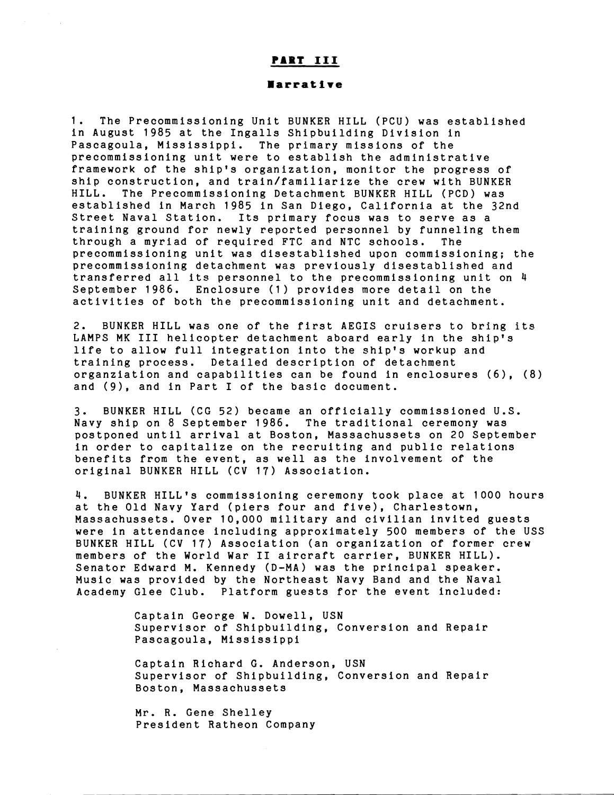## PART III

#### **larrat ire**

1. The Precommissioning Unit BUNKER HILL (PCU) was established in August 1985 at the Ingalls Shipbuilding Division in Pascagoula, Mississippi. The primary missions of the precommissioning unit were to establish the administrative framework of the ship's organization, monitor the progress of ship construction, and train/familiarize the crew with BUNKER HILL. The Precommissioning Detachment BUNKER HILL (PCD) was established in March 1985 in San Diego, California at the 32nd Street Naval Station. Its primary focus was to serve as a training ground for newly reported personnel by funneling them through a myriad of required FTC and NTC schools. The precommissioning unit was disestablished upon commissioning; the precommissioning detachment was previously disestablished and transferred all its personnel to the precommissioning unit on 4 September 1986. Enclosure (1) provides more detail on the activities of both the precommissioning unit and detachment.

2. BUNKER HILL was one of the first AEGIS cruisers to bring its LAMPS MK I11 helicopter detachment aboard early in the ship's life to allow full integration into the ship's workup and training process. Detailed description of detachment organziation and capabilities can be found in enclosures (6), (8) and (9), and in Part I of the basic document.

3. BUNKER HILL (CG 52) became an officially commissioned U.S. Navy ship on 8 September 1986. The traditional ceremony was postponed until arrival at Boston, Massachussets on 20 September in order to capitalize on the recruiting and public relations benefits from the event, as well as the involvement of the original BUNKER HILL (CV 17) Association.

4. BUNKER HILL'S commissioning ceremony took place at 1000 hours at the Old Navy Yard (piers four and five), Charlestown, Massachussets. Over 10,000 military and civilian invited guests were in attendance including approximately 500 members of the USS BUNKER HILL **(CV** 17) Association (an organization of former crew members of the World War I1 aircraft carrier, BUNKER HILL). Senator Edward M. Kennedy (D-MA) was the principal speaker. Music was provided by the Northeast Navy Band and the Naval Academy Glee Club. Platform guests for the event included:

> Captain George W. Dowell, USN Supervisor of Shipbuilding, Conversion and Repair Pascagoula, Mississippi

> Captain Richard G. Anderson, USN Supervisor of Shipbuilding, Conversion and Repair Boston, Massachussets

Mr. R. Gene Shelley President Ratheon Company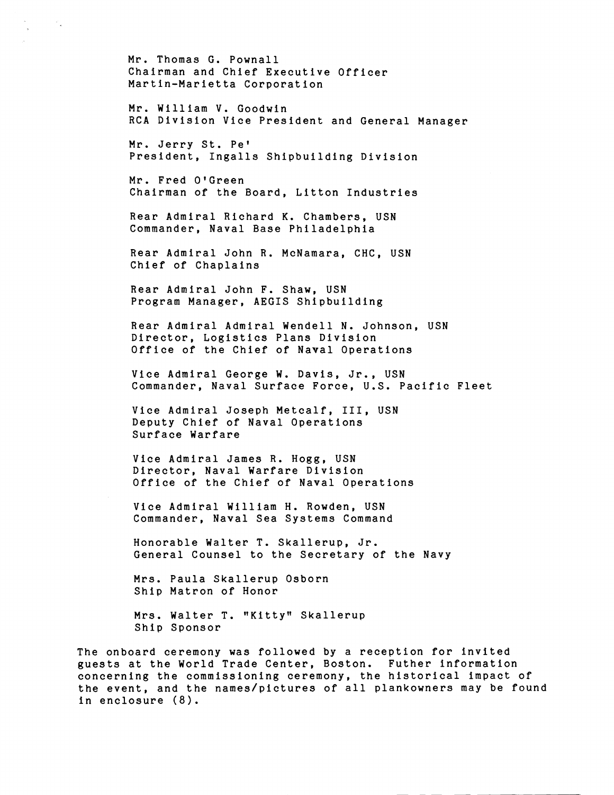Mr. Thomas G. Pownall Chairman and Chief Executive Officer Martin-Marietta Corporation

in Kil

Mr. William V. Goodwin RCA Division Vice President and General Manager

Mr. Jerry St. Pet President, Ingalls Shipbuilding Division

Mr. Fred O'Green Chairman of the Board, Litton Industries

Rear Admiral Richard K. Chambers, USN Commander, Naval Base Philadelphia

Rear Admiral John R. McNamara, CHC, USN Chief of Chaplains

Rear Admiral John F. Shaw, USN Program Manager, AEGIS Shipbuilding

Rear Admiral Admiral Wendell N. Johnson, USN Director, Logistics Plans Division Office of the Chief of Naval Operations

Vice Admiral George W. Davis, Jr., USN Commander, Naval Surface Force, U.S. Pacific Fleet

Vice Admiral Joseph Metcalf, 111, USN Deputy Chief of Naval Operations Surface Warfare

Vice Admiral James R. Hogg, USN Director, Naval Warfare Division Office of the Chief of Naval Operations

Vice Admiral William H. Rowden, USN Commander, Naval Sea Systems Command

Honorable Walter T. Skallerup, Jr. General Counsel to the Secretary of the Navy

Mrs. Paula Skallerup Osborn Ship Matron of Honor

Mrs. Walter T. "Kitty" Skallerup Ship Sponsor

The onboard ceremony was followed by a reception for invited guests at the World Trade Center, Boston. Futher information concerning the commissioning ceremony, the historical impact of the event, and the names/pictures of all plankowners may be found in enclosure **(8).**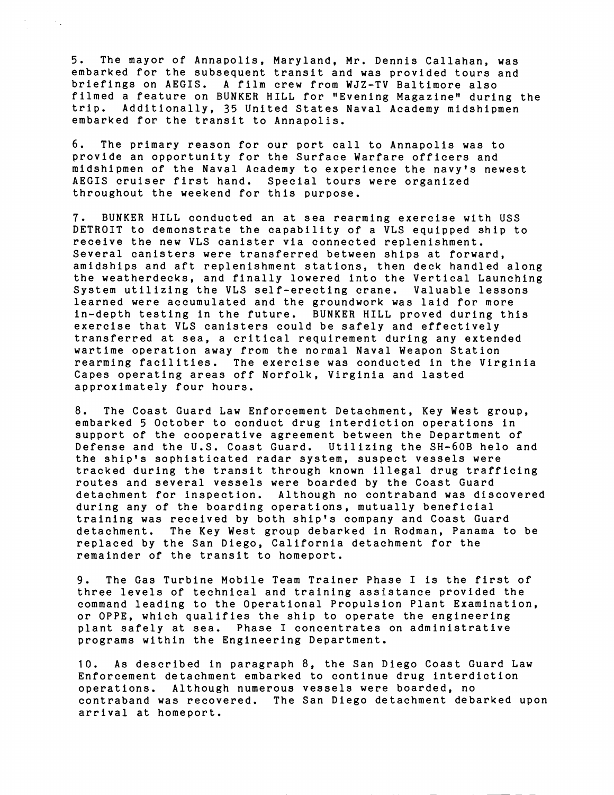5. The mayor of Annapolis, Maryland, Mr. Dennis Callahan, was embarked for the subsequent transit and was provided tours and briefings on AEGIS. A film crew from WJZ-TV Baltimore also filmed a feature on BUNKER HILL for "Evening Magazinew during the trip. Additionally, 35 United States Naval Academy midshipmen embarked for the transit to Annapolis.

6. The primary reason for our port call to Annapolis was to provide an opportunity for the Surface Warfare officers and midshipmen of the Naval Academy to experience the navy's newest AEGIS cruiser first hand. Special tours were organized throughout the weekend for this purpose.

7. BUNKER HILL conducted an at sea rearming exercise with USS DETROIT to demonstrate the capability of a VLS equipped ship to receive the new VLS canister via connected replenishment. Several canisters were transferred between ships at forward, amidships and aft replenishment stations, then deck handled along the weatherdecks, and finally lowered into the Vertical Launching System utilizing the VLS self-erecting crane. Valuable lessons learned were accumulated and the groundwork was laid for more in-depth testing in the future. BUNKER HILL proved during this exercise that VLS canisters could be safely and effectively transferred at sea, a critical requirement during any extended wartime operation away from the normal Naval Weapon Station rearming facilities. The exercise was conducted in the Virginia Capes operating areas off Norfolk, Virginia and lasted approximately four hours.

8. The Coast Guard Law Enforcement Detachment, Key West group, embarked 5 October to conduct drug interdiction operations in support of the cooperative agreement between the Department of Defense and the U.S. Coast Guard. Utilizing the SH-60B helo and the ship's sophisticated radar system, suspect vessels were tracked during the transit through known illegal drug trafficing routes and several vessels were boarded by the Coast Guard detachment for inspection. Although no contraband was discovered during any of the boarding operations, mutually beneficial training was received by both ship's company and Coast Guard detachment. The Key West group debarked in Rodman, Panama to be replaced by the San Diego, California detachment for the remainder of the transit to homeport.

9. The Gas Turbine Mobile Team Trainer Phase I is the first of three levels of technical and training assistance provided the command leading to the Operational Propulsion Plant Examination, or OPPE, which qualifies the ship to operate the engineering plant safely at sea. Phase I concentrates on administrative programs within the Engineering Department.

10. As described in paragraph 8, the San Diego Coast Guard Law Enforcement detachment embarked to continue drug interdiction operations. Although numerous vessels were boarded, no contraband was recovered. The San Diego detachment debarked upon arrival at homeport.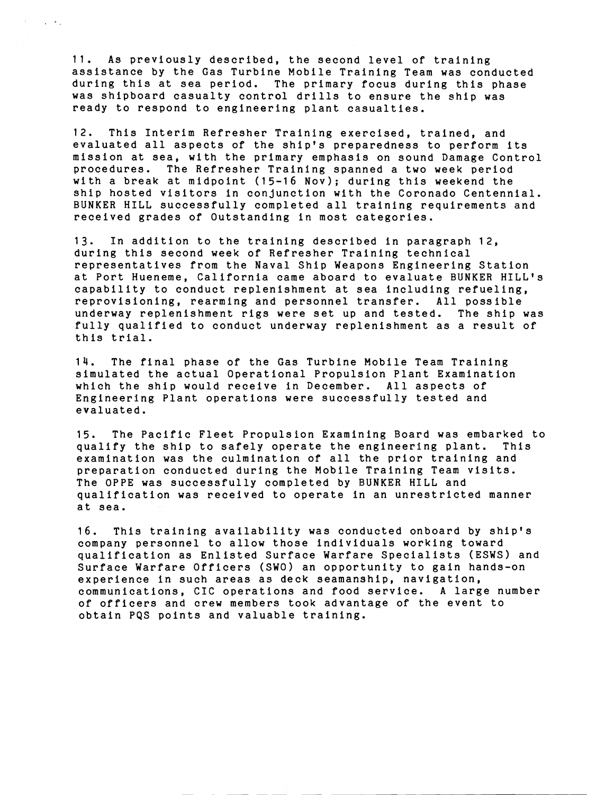11. As previously described, the second level of training assistance by the Gas Turbine Mobile Training Team was conducted during this at sea period. The primary focus during this phase was shipboard casualty control drills to ensure the ship was ready to respond to engineering plant casualties.

 $\mathcal{L}^{\mathcal{L}}(\mathcal{L}^{\mathcal{L}})$  , where  $\mathcal{L}^{\mathcal{L}}(\mathcal{L}^{\mathcal{L}})$ 

12. This Interim Refresher Training exercised, trained, and evaluated all aspects of the ship's preparedness to perform its mission at sea, with the primary emphasis on sound Damage Control procedures. The Refresher Training spanned a two week period with a break at midpoint (15-16 Nov); during this weekend the ship hosted visitors in conjunction with the Coronado Centennial. BUNKER HILL successfully completed all training requirements and received grades of Outstanding in most categories.

13. In addition to the training described in paragraph 12, during this second week of Refresher Training technical representatives from the Naval Ship Weapons Engineering Station at Port Hueneme, California came aboard to evaluate BUNKER HILL'S capability to conduct replenishment at sea including refueling, reprovisioning, rearming and personnel transfer. All possible underway replenishment rigs were set up and tested. The ship was fully qualified to conduct underway replenishment as a result of this trial.

14. The final phase of the Gas Turbine Mobile Team Training simulated the actual Operational Propulsion Plant Examination which the ship would receive in December. All aspects of Engineering Plant operations were successfully tested and evaluated.

15. The Pacific Fleet Propulsion Examining Board was embarked to qualify the ship to safely operate the engineering plant. examination was the culmination of all the prior training and preparation conducted during the Mobile Training Team visits. The OPPE was successfully completed by BUNKER HILL and qualification was received to operate in an unrestricted manner at sea.

16. This training availability was conducted onboard by ship's company personnel to allow those individuals working toward qualification as Enlisted Surface Warfare Specialists (ESWS) and Surface Warfare Officers (SWO) an opportunity to gain hands-on experience in such areas as deck seamanship, navigation, communications, CIC operations and food service. **A** large number of officers and crew members took advantage of the event to obtain PQS points and valuable training.